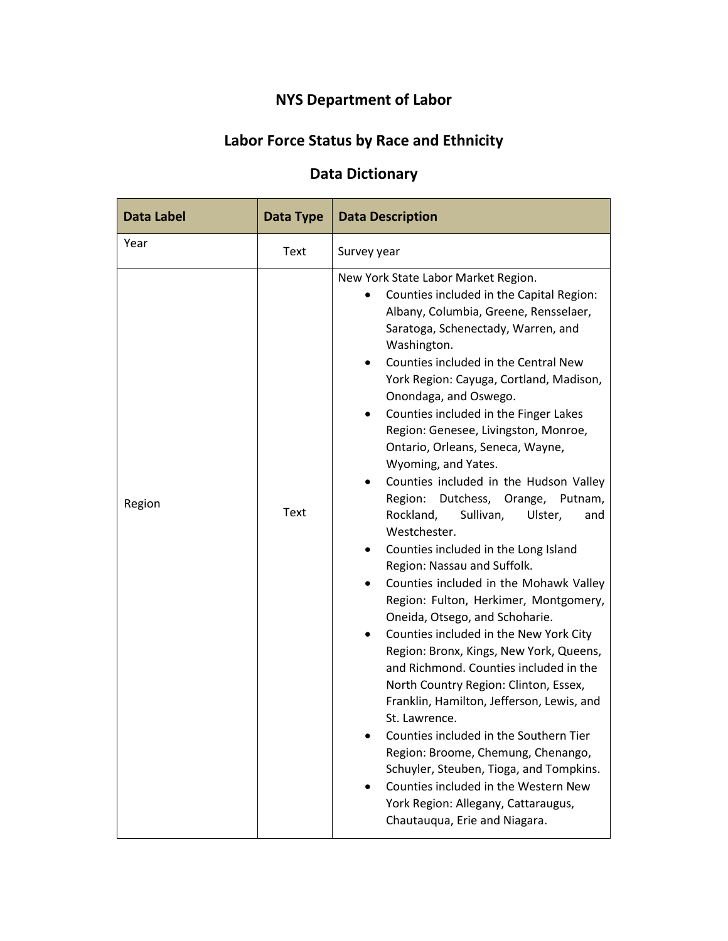# **NYS Department of Labor**

# **Labor Force Status by Race and Ethnicity**

## **Data Dictionary**

| <b>Data Label</b> | Data Type | <b>Data Description</b>                                                                                                                                                                                                                                                                                                                                                                                                                                                                                                                                                                                                                                                                                                                                                                                                                                                                                                                                                                                                                                                                                                                                                                                                                                          |
|-------------------|-----------|------------------------------------------------------------------------------------------------------------------------------------------------------------------------------------------------------------------------------------------------------------------------------------------------------------------------------------------------------------------------------------------------------------------------------------------------------------------------------------------------------------------------------------------------------------------------------------------------------------------------------------------------------------------------------------------------------------------------------------------------------------------------------------------------------------------------------------------------------------------------------------------------------------------------------------------------------------------------------------------------------------------------------------------------------------------------------------------------------------------------------------------------------------------------------------------------------------------------------------------------------------------|
| Year              | Text      | Survey year                                                                                                                                                                                                                                                                                                                                                                                                                                                                                                                                                                                                                                                                                                                                                                                                                                                                                                                                                                                                                                                                                                                                                                                                                                                      |
| Region            | Text      | New York State Labor Market Region.<br>Counties included in the Capital Region:<br>Albany, Columbia, Greene, Rensselaer,<br>Saratoga, Schenectady, Warren, and<br>Washington.<br>Counties included in the Central New<br>York Region: Cayuga, Cortland, Madison,<br>Onondaga, and Oswego.<br>Counties included in the Finger Lakes<br>Region: Genesee, Livingston, Monroe,<br>Ontario, Orleans, Seneca, Wayne,<br>Wyoming, and Yates.<br>Counties included in the Hudson Valley<br>Dutchess, Orange, Putnam,<br>Region:<br>Rockland,<br>Sullivan,<br>Ulster,<br>and<br>Westchester.<br>Counties included in the Long Island<br>Region: Nassau and Suffolk.<br>Counties included in the Mohawk Valley<br>Region: Fulton, Herkimer, Montgomery,<br>Oneida, Otsego, and Schoharie.<br>Counties included in the New York City<br>Region: Bronx, Kings, New York, Queens,<br>and Richmond. Counties included in the<br>North Country Region: Clinton, Essex,<br>Franklin, Hamilton, Jefferson, Lewis, and<br>St. Lawrence.<br>Counties included in the Southern Tier<br>Region: Broome, Chemung, Chenango,<br>Schuyler, Steuben, Tioga, and Tompkins.<br>Counties included in the Western New<br>York Region: Allegany, Cattaraugus,<br>Chautauqua, Erie and Niagara. |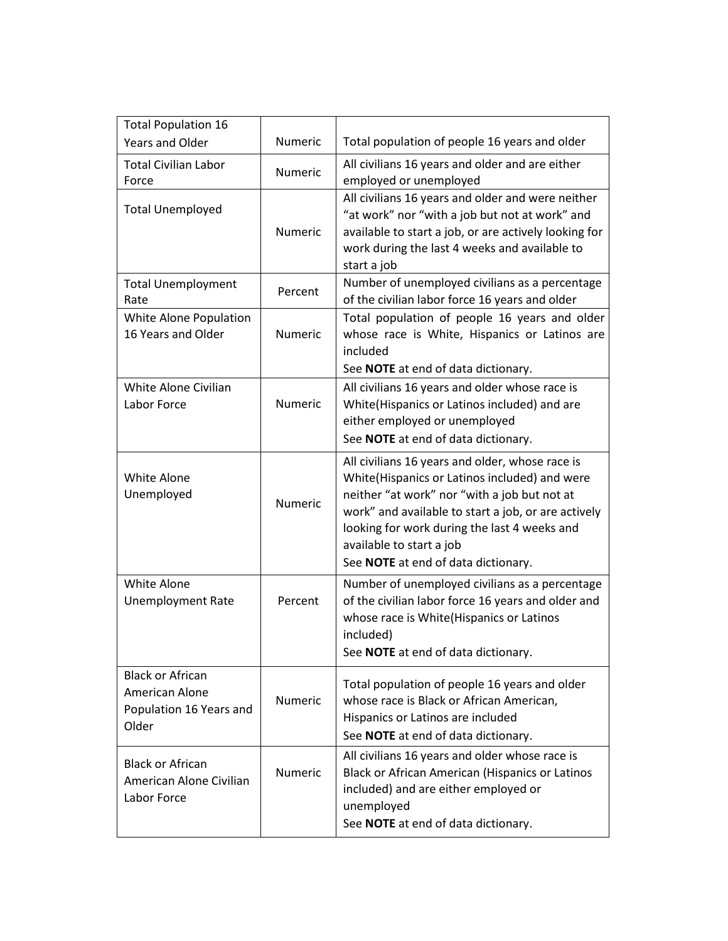| <b>Total Population 16</b>                                                    |                |                                                                                                                                                                                                                                                                                                                            |
|-------------------------------------------------------------------------------|----------------|----------------------------------------------------------------------------------------------------------------------------------------------------------------------------------------------------------------------------------------------------------------------------------------------------------------------------|
| Years and Older                                                               | <b>Numeric</b> | Total population of people 16 years and older                                                                                                                                                                                                                                                                              |
| <b>Total Civilian Labor</b><br>Force                                          | <b>Numeric</b> | All civilians 16 years and older and are either<br>employed or unemployed                                                                                                                                                                                                                                                  |
| <b>Total Unemployed</b>                                                       | <b>Numeric</b> | All civilians 16 years and older and were neither<br>"at work" nor "with a job but not at work" and<br>available to start a job, or are actively looking for<br>work during the last 4 weeks and available to<br>start a job                                                                                               |
| <b>Total Unemployment</b><br>Rate                                             | Percent        | Number of unemployed civilians as a percentage<br>of the civilian labor force 16 years and older                                                                                                                                                                                                                           |
| White Alone Population<br>16 Years and Older                                  | <b>Numeric</b> | Total population of people 16 years and older<br>whose race is White, Hispanics or Latinos are<br>included<br>See NOTE at end of data dictionary.                                                                                                                                                                          |
| White Alone Civilian<br>Labor Force                                           | <b>Numeric</b> | All civilians 16 years and older whose race is<br>White(Hispanics or Latinos included) and are<br>either employed or unemployed<br>See NOTE at end of data dictionary.                                                                                                                                                     |
| White Alone<br>Unemployed                                                     | Numeric        | All civilians 16 years and older, whose race is<br>White(Hispanics or Latinos included) and were<br>neither "at work" nor "with a job but not at<br>work" and available to start a job, or are actively<br>looking for work during the last 4 weeks and<br>available to start a job<br>See NOTE at end of data dictionary. |
| <b>White Alone</b><br><b>Unemployment Rate</b>                                | Percent        | Number of unemployed civilians as a percentage<br>of the civilian labor force 16 years and older and<br>whose race is White(Hispanics or Latinos<br>included)<br>See NOTE at end of data dictionary.                                                                                                                       |
| <b>Black or African</b><br>American Alone<br>Population 16 Years and<br>Older | Numeric        | Total population of people 16 years and older<br>whose race is Black or African American,<br>Hispanics or Latinos are included<br>See NOTE at end of data dictionary.                                                                                                                                                      |
| <b>Black or African</b><br>American Alone Civilian<br>Labor Force             | Numeric        | All civilians 16 years and older whose race is<br>Black or African American (Hispanics or Latinos<br>included) and are either employed or<br>unemployed<br>See NOTE at end of data dictionary.                                                                                                                             |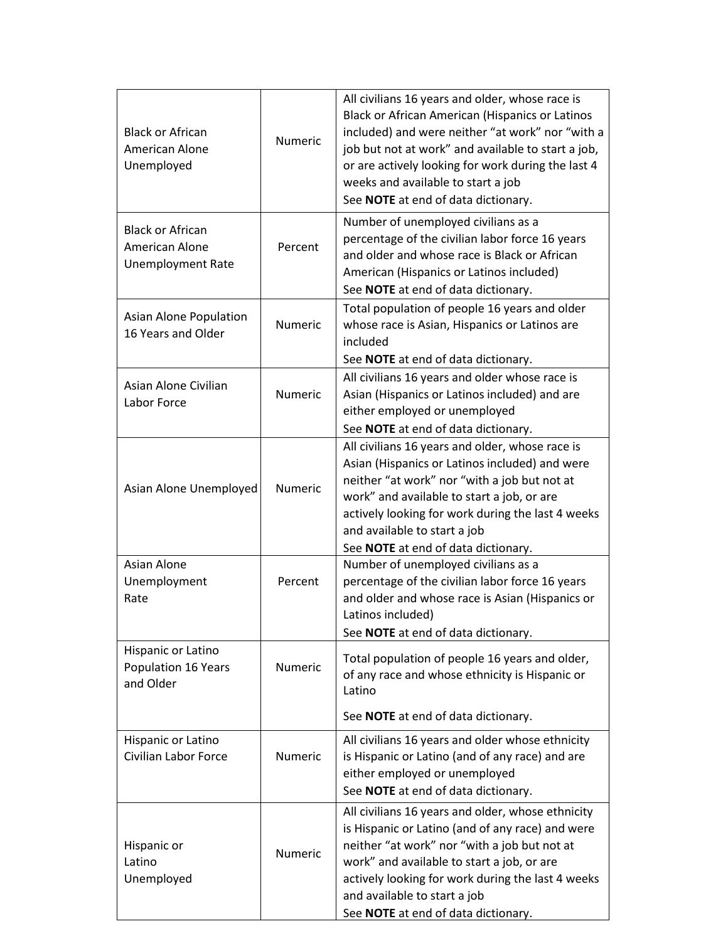| <b>Black or African</b><br>American Alone<br>Unemployed               | Numeric        | All civilians 16 years and older, whose race is<br>Black or African American (Hispanics or Latinos<br>included) and were neither "at work" nor "with a<br>job but not at work" and available to start a job,<br>or are actively looking for work during the last 4<br>weeks and available to start a job<br>See NOTE at end of data dictionary. |
|-----------------------------------------------------------------------|----------------|-------------------------------------------------------------------------------------------------------------------------------------------------------------------------------------------------------------------------------------------------------------------------------------------------------------------------------------------------|
| <b>Black or African</b><br>American Alone<br><b>Unemployment Rate</b> | Percent        | Number of unemployed civilians as a<br>percentage of the civilian labor force 16 years<br>and older and whose race is Black or African<br>American (Hispanics or Latinos included)<br>See NOTE at end of data dictionary.                                                                                                                       |
| Asian Alone Population<br>16 Years and Older                          | <b>Numeric</b> | Total population of people 16 years and older<br>whose race is Asian, Hispanics or Latinos are<br>included<br>See NOTE at end of data dictionary.                                                                                                                                                                                               |
| Asian Alone Civilian<br>Labor Force                                   | Numeric        | All civilians 16 years and older whose race is<br>Asian (Hispanics or Latinos included) and are<br>either employed or unemployed<br>See NOTE at end of data dictionary.                                                                                                                                                                         |
| Asian Alone Unemployed                                                | <b>Numeric</b> | All civilians 16 years and older, whose race is<br>Asian (Hispanics or Latinos included) and were<br>neither "at work" nor "with a job but not at<br>work" and available to start a job, or are<br>actively looking for work during the last 4 weeks<br>and available to start a job<br>See NOTE at end of data dictionary.                     |
| Asian Alone<br>Unemployment<br>Rate                                   | Percent        | Number of unemployed civilians as a<br>percentage of the civilian labor force 16 years<br>and older and whose race is Asian (Hispanics or<br>Latinos included)<br>See NOTE at end of data dictionary.                                                                                                                                           |
| Hispanic or Latino<br>Population 16 Years<br>and Older                | <b>Numeric</b> | Total population of people 16 years and older,<br>of any race and whose ethnicity is Hispanic or<br>Latino<br>See NOTE at end of data dictionary.                                                                                                                                                                                               |
| Hispanic or Latino<br><b>Civilian Labor Force</b>                     | <b>Numeric</b> | All civilians 16 years and older whose ethnicity<br>is Hispanic or Latino (and of any race) and are<br>either employed or unemployed<br>See NOTE at end of data dictionary.                                                                                                                                                                     |
| Hispanic or<br>Latino<br>Unemployed                                   | <b>Numeric</b> | All civilians 16 years and older, whose ethnicity<br>is Hispanic or Latino (and of any race) and were<br>neither "at work" nor "with a job but not at<br>work" and available to start a job, or are<br>actively looking for work during the last 4 weeks<br>and available to start a job<br>See NOTE at end of data dictionary.                 |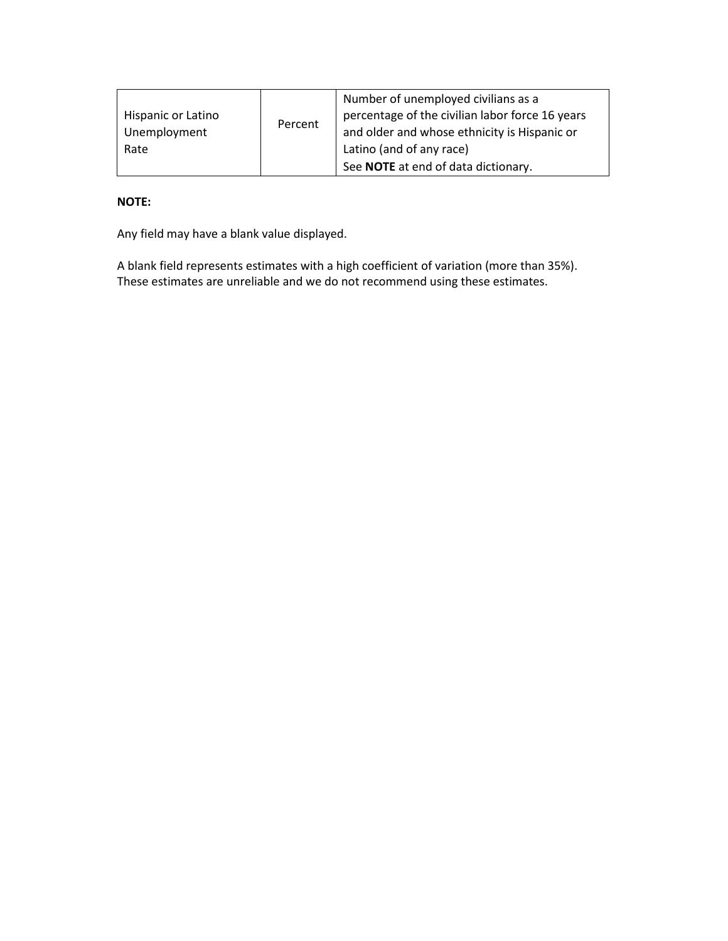|                    |         | Number of unemployed civilians as a             |
|--------------------|---------|-------------------------------------------------|
| Hispanic or Latino | Percent | percentage of the civilian labor force 16 years |
| Unemployment       |         | and older and whose ethnicity is Hispanic or    |
| Rate               |         | Latino (and of any race)                        |
|                    |         | See NOTE at end of data dictionary.             |

### **NOTE:**

Any field may have a blank value displayed.

A blank field represents estimates with a high coefficient of variation (more than 35%). These estimates are unreliable and we do not recommend using these estimates.